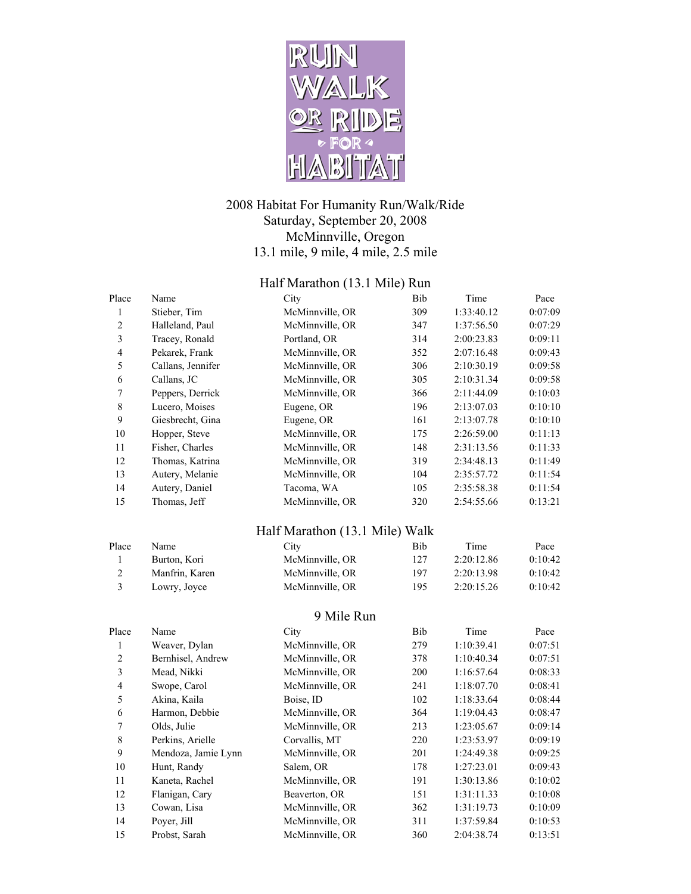

## 2008 Habitat For Humanity Run/Walk/Ride Saturday, September 20, 2008 McMinnville, Oregon 13.1 mile, 9 mile, 4 mile, 2.5 mile

## Half Marathon (13.1 Mile) Run

| Place                   | Name                | City                           | Bib | Time       | Pace    |
|-------------------------|---------------------|--------------------------------|-----|------------|---------|
| $\mathbf{1}$            | Stieber, Tim        | McMinnville, OR                | 309 | 1:33:40.12 | 0:07:09 |
| $\overline{c}$          | Halleland, Paul     | McMinnville, OR                | 347 | 1:37:56.50 | 0:07:29 |
| $\overline{\mathbf{3}}$ | Tracey, Ronald      | Portland, OR                   | 314 | 2:00:23.83 | 0:09:11 |
| $\overline{4}$          | Pekarek, Frank      | McMinnville, OR                | 352 | 2:07:16.48 | 0:09:43 |
| 5                       | Callans, Jennifer   | McMinnville, OR                | 306 | 2:10:30.19 | 0:09:58 |
| 6                       | Callans, JC         | McMinnville, OR                | 305 | 2:10:31.34 | 0:09:58 |
| $\boldsymbol{7}$        | Peppers, Derrick    | McMinnville, OR                | 366 | 2:11:44.09 | 0:10:03 |
| $\,$ 8 $\,$             | Lucero, Moises      | Eugene, OR                     | 196 | 2:13:07.03 | 0:10:10 |
| 9                       | Giesbrecht, Gina    | Eugene, OR                     | 161 | 2:13:07.78 | 0:10:10 |
| 10                      | Hopper, Steve       | McMinnville, OR                | 175 | 2:26:59.00 | 0:11:13 |
| 11                      | Fisher, Charles     | McMinnville, OR                | 148 | 2:31:13.56 | 0:11:33 |
| 12                      | Thomas, Katrina     | McMinnville, OR                | 319 | 2:34:48.13 | 0:11:49 |
| 13                      | Autery, Melanie     | McMinnville, OR                | 104 | 2:35:57.72 | 0:11:54 |
| 14                      | Autery, Daniel      | Tacoma, WA                     | 105 | 2:35:58.38 | 0:11:54 |
| 15                      | Thomas, Jeff        | McMinnville, OR                | 320 | 2:54:55.66 | 0:13:21 |
|                         |                     | Half Marathon (13.1 Mile) Walk |     |            |         |
| Place                   | Name                | City                           | Bib | Time       | Pace    |
| $\mathbf{1}$            | Burton, Kori        | McMinnville, OR                | 127 | 2:20:12.86 | 0:10:42 |
| $\overline{c}$          | Manfrin, Karen      | McMinnville, OR                | 197 | 2:20:13.98 | 0:10:42 |
| $\overline{3}$          | Lowry, Joyce        | McMinnville, OR                | 195 | 2:20:15.26 | 0:10:42 |
|                         |                     | 9 Mile Run                     |     |            |         |
| Place                   | Name                | City                           | Bib | Time       | Pace    |
| $\mathbf{1}$            | Weaver, Dylan       | McMinnville, OR                | 279 | 1:10:39.41 | 0:07:51 |
| $\overline{c}$          | Bernhisel, Andrew   | McMinnville, OR                | 378 | 1:10:40.34 | 0:07:51 |
| $\overline{\mathbf{3}}$ | Mead, Nikki         | McMinnville, OR                | 200 | 1:16:57.64 | 0:08:33 |
| $\overline{4}$          | Swope, Carol        | McMinnville, OR                | 241 | 1:18:07.70 | 0:08:41 |
| 5                       | Akina, Kaila        | Boise, ID                      | 102 | 1:18:33.64 | 0:08:44 |
| 6                       | Harmon, Debbie      | McMinnville, OR                | 364 | 1:19:04.43 | 0:08:47 |
| $\boldsymbol{7}$        | Olds, Julie         | McMinnville, OR                | 213 | 1:23:05.67 | 0:09:14 |
| $\,8\,$                 | Perkins, Arielle    | Corvallis, MT                  | 220 | 1:23:53.97 | 0:09:19 |
| $\boldsymbol{9}$        | Mendoza, Jamie Lynn | McMinnville, OR                | 201 | 1:24:49.38 | 0:09:25 |
| 10                      | Hunt, Randy         | Salem, OR                      | 178 | 1:27:23.01 | 0:09:43 |
| 11                      | Kaneta, Rachel      | McMinnville, OR                | 191 | 1:30:13.86 | 0:10:02 |
| 12                      | Flanigan, Cary      | Beaverton, OR                  | 151 | 1:31:11.33 | 0:10:08 |
| 13                      | Cowan, Lisa         | McMinnville, OR                | 362 | 1:31:19.73 | 0:10:09 |
| 14                      | Poyer, Jill         | McMinnville, OR                | 311 | 1:37:59.84 | 0:10:53 |
| 15                      | Probst, Sarah       | McMinnville, OR                | 360 | 2:04:38.74 | 0:13:51 |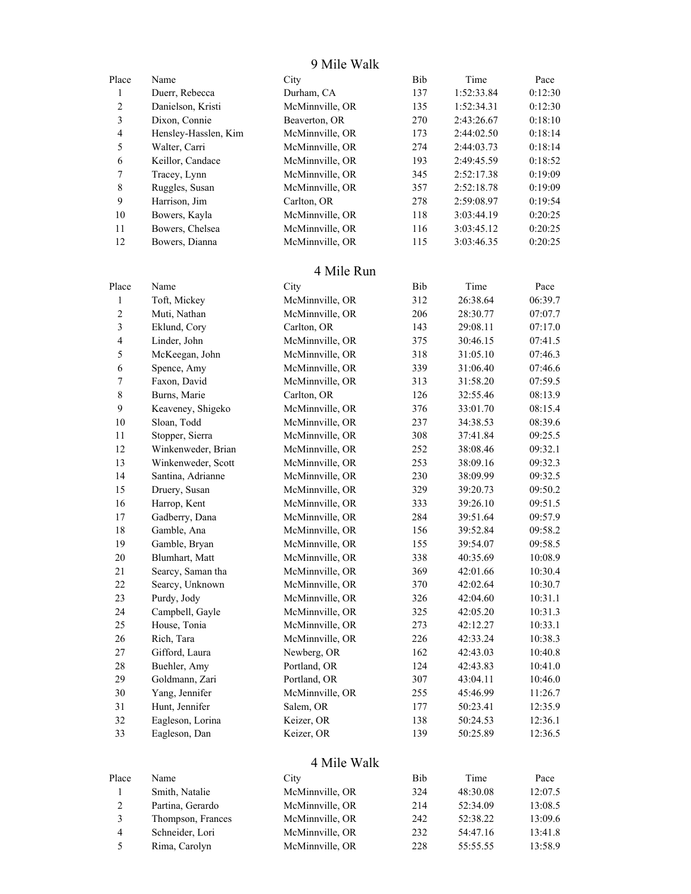9 Mile Walk

| Place                    | Name                                 | City                               | Bib | Time                 | Pace               |
|--------------------------|--------------------------------------|------------------------------------|-----|----------------------|--------------------|
| $\mathbf{1}$             | Duerr, Rebecca                       | Durham, CA                         | 137 | 1:52:33.84           | 0:12:30            |
| $\overline{c}$           | Danielson, Kristi                    | McMinnville, OR                    | 135 | 1:52:34.31           | 0:12:30            |
| $\overline{\mathbf{3}}$  | Dixon, Connie                        | Beaverton, OR                      | 270 | 2:43:26.67           | 0:18:10            |
| $\overline{\mathbf{4}}$  | Hensley-Hasslen, Kim                 | McMinnville, OR                    | 173 | 2:44:02.50           | 0:18:14            |
| 5                        | Walter, Carri                        | McMinnville, OR                    | 274 | 2:44:03.73           | 0:18:14            |
| 6                        | Keillor, Candace                     | McMinnville, OR                    | 193 | 2:49:45.59           | 0:18:52            |
| $\boldsymbol{7}$         | Tracey, Lynn                         | McMinnville, OR                    | 345 | 2:52:17.38           | 0:19:09            |
| $\,$ $\,$                | Ruggles, Susan                       | McMinnville, OR                    | 357 | 2:52:18.78           | 0:19:09            |
| 9                        | Harrison, Jim                        | Carlton, OR                        | 278 | 2:59:08.97           | 0:19:54            |
| 10                       | Bowers, Kayla                        | McMinnville, OR                    | 118 | 3:03:44.19           | 0:20:25            |
| 11                       | Bowers, Chelsea                      | McMinnville, OR                    | 116 | 3:03:45.12           | 0:20:25            |
| 12                       | Bowers, Dianna                       | McMinnville, OR                    | 115 | 3:03:46.35           | 0:20:25            |
|                          |                                      | 4 Mile Run                         |     |                      |                    |
| Place                    | Name                                 |                                    | Bib | Time                 |                    |
|                          |                                      | City                               |     |                      | Pace               |
| 1                        | Toft, Mickey                         | McMinnville, OR<br>McMinnville, OR | 312 | 26:38.64             | 06:39.7            |
| $\overline{c}$           | Muti, Nathan<br>Eklund, Cory         | Carlton, OR                        | 206 | 28:30.77             | 07:07.7            |
| $\mathfrak{Z}$           |                                      |                                    | 143 | 29:08.11             | 07:17.0            |
| $\overline{\mathcal{A}}$ | Linder, John                         | McMinnville, OR                    | 375 | 30:46.15             | 07:41.5            |
| 5                        | McKeegan, John                       | McMinnville, OR                    | 318 | 31:05.10             | 07:46.3            |
| 6                        | Spence, Amy                          | McMinnville, OR                    | 339 | 31:06.40             | 07:46.6            |
| $\boldsymbol{7}$         | Faxon, David                         | McMinnville, OR                    | 313 | 31:58.20             | 07:59.5            |
| $\,8\,$                  | Burns, Marie                         | Carlton, OR                        | 126 | 32:55.46             | 08:13.9            |
| 9                        | Keaveney, Shigeko                    | McMinnville, OR                    | 376 | 33:01.70             | 08:15.4            |
| 10                       | Sloan, Todd                          | McMinnville, OR                    | 237 | 34:38.53             | 08:39.6            |
| 11                       | Stopper, Sierra                      | McMinnville, OR                    | 308 | 37:41.84             | 09:25.5            |
| 12                       | Winkenweder, Brian                   | McMinnville, OR                    | 252 | 38:08.46             | 09:32.1            |
| 13                       | Winkenweder, Scott                   | McMinnville, OR                    | 253 | 38:09.16             | 09:32.3            |
| 14                       | Santina, Adrianne                    | McMinnville, OR                    | 230 | 38:09.99             | 09:32.5            |
| 15                       | Druery, Susan                        | McMinnville, OR                    | 329 | 39:20.73             | 09:50.2            |
| 16                       | Harrop, Kent                         | McMinnville, OR                    | 333 | 39:26.10             | 09:51.5            |
| 17                       | Gadberry, Dana                       | McMinnville, OR                    | 284 | 39:51.64             | 09:57.9            |
| 18                       | Gamble, Ana                          | McMinnville, OR                    | 156 | 39:52.84             | 09:58.2            |
| 19                       | Gamble, Bryan                        | McMinnville, OR                    | 155 | 39:54.07             | 09:58.5            |
| 20<br>21                 | Blumhart, Matt                       | McMinnville, OR<br>McMinnville, OR | 338 | 40:35.69             | 10:08.9            |
| 22                       | Searcy, Saman tha<br>Searcy, Unknown | McMinnville, OR                    | 369 | 42:01.66<br>42:02.64 | 10:30.4            |
|                          |                                      |                                    | 370 | 42:04.60             | 10:30.7<br>10:31.1 |
| 23                       | Purdy, Jody                          | McMinnville, OR                    | 326 |                      |                    |
| 24                       | Campbell, Gayle                      | McMinnville, OR<br>McMinnville, OR | 325 | 42:05.20             | 10:31.3            |
| $25\,$<br>$26\,$         | House, Tonia                         | McMinnville, OR                    | 273 | 42:12.27             | 10:33.1<br>10:38.3 |
| $27\,$                   | Rich, Tara<br>Gifford, Laura         | Newberg, OR                        | 226 | 42:33.24             |                    |
|                          |                                      |                                    | 162 | 42:43.03             | 10:40.8            |
| $28\,$                   | Buehler, Amy<br>Goldmann, Zari       | Portland, OR                       | 124 | 42:43.83             | 10:41.0            |
| 29<br>$30\,$             | Yang, Jennifer                       | Portland, OR<br>McMinnville, OR    | 307 | 43:04.11             | 10:46.0            |
| 31                       | Hunt, Jennifer                       | Salem, OR                          | 255 | 45:46.99             | 11:26.7            |
| 32                       | Eagleson, Lorina                     | Keizer, OR                         | 177 | 50:23.41             | 12:35.9            |
|                          |                                      | Keizer, OR                         | 138 | 50:24.53             | 12:36.1            |
| 33                       | Eagleson, Dan                        |                                    | 139 | 50:25.89             | 12:36.5            |
|                          |                                      | 4 Mile Walk                        |     |                      |                    |
| Place                    | Name                                 | City                               | Bib | Time                 | Pace               |
| 1                        | Smith, Natalie                       | McMinnville, OR                    | 324 | 48:30.08             | 12:07.5            |
| $\overline{c}$           | Partina, Gerardo                     | McMinnville, OR                    | 214 | 52:34.09             | 13:08.5            |
| $\overline{\mathbf{3}}$  | Thompson, Frances                    | McMinnville, OR                    | 242 | 52:38.22             | 13:09.6            |
| $\overline{4}$           | Schneider, Lori                      | McMinnville, OR                    | 232 | 54:47.16             | 13:41.8            |
| 5                        | Rima, Carolyn                        | McMinnville, OR                    | 228 | 55:55.55             | 13:58.9            |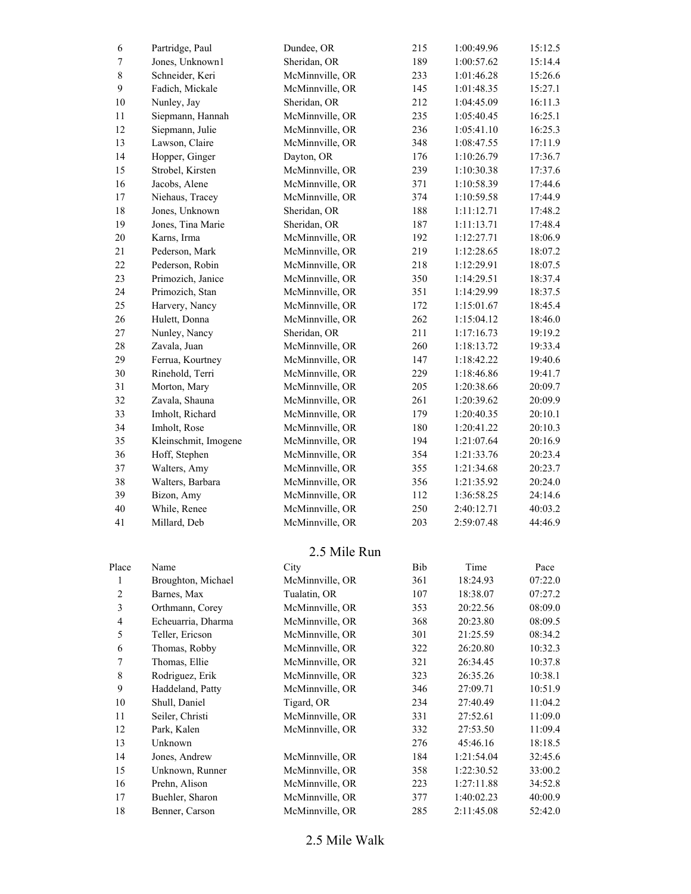| 6                            | Partridge, Paul                | Dundee, OR                         | 215        | 1:00:49.96               | 15:12.5            |
|------------------------------|--------------------------------|------------------------------------|------------|--------------------------|--------------------|
| $\boldsymbol{7}$             | Jones, Unknown1                | Sheridan, OR                       | 189        | 1:00:57.62               | 15:14.4            |
| $\,$ $\,$                    | Schneider, Keri                | McMinnville, OR                    | 233        | 1:01:46.28               | 15:26.6            |
| $\mathbf{9}$                 | Fadich, Mickale                | McMinnville, OR                    | 145        | 1:01:48.35               | 15:27.1            |
| $10\,$                       | Nunley, Jay                    | Sheridan, OR                       | 212        | 1:04:45.09               | 16:11.3            |
| $11\,$                       | Siepmann, Hannah               | McMinnville, OR                    | 235        | 1:05:40.45               | 16:25.1            |
| 12                           | Siepmann, Julie                | McMinnville, OR                    | 236        | 1:05:41.10               | 16:25.3            |
| 13                           | Lawson, Claire                 | McMinnville, OR                    | 348        | 1:08:47.55               | 17:11.9            |
| 14                           | Hopper, Ginger                 | Dayton, OR                         | 176        | 1:10:26.79               | 17:36.7            |
| 15                           | Strobel, Kirsten               | McMinnville, OR                    | 239        | 1:10:30.38               | 17:37.6            |
| 16                           | Jacobs, Alene                  | McMinnville, OR                    | 371        | 1:10:58.39               | 17:44.6            |
| $17\,$                       | Niehaus, Tracey                | McMinnville, OR                    | 374        | 1:10:59.58               | 17:44.9            |
| $18\,$                       | Jones, Unknown                 | Sheridan, OR                       | 188        | 1:11:12.71               | 17:48.2            |
| 19                           | Jones, Tina Marie              | Sheridan, OR                       | 187        | 1:11:13.71               | 17:48.4            |
| $20\,$                       | Karns, Irma                    | McMinnville, OR                    | 192        | 1:12:27.71               | 18:06.9            |
| 21                           | Pederson, Mark                 | McMinnville, OR                    | 219        | 1:12:28.65               | 18:07.2            |
| 22                           | Pederson, Robin                | McMinnville, OR                    | 218        | 1:12:29.91               | 18:07.5            |
| 23                           | Primozich, Janice              | McMinnville, OR                    | 350        | 1:14:29.51               | 18:37.4            |
| 24                           | Primozich, Stan                | McMinnville, OR                    | 351        | 1:14:29.99               | 18:37.5            |
| 25                           | Harvery, Nancy                 | McMinnville, OR                    | 172        | 1:15:01.67               | 18:45.4            |
| 26                           | Hulett, Donna                  | McMinnville, OR                    | 262        | 1:15:04.12               | 18:46.0            |
| 27                           | Nunley, Nancy                  | Sheridan, OR                       | 211        | 1:17:16.73               | 19:19.2            |
| $28\,$                       | Zavala, Juan                   | McMinnville, OR                    | 260        | 1:18:13.72               | 19:33.4            |
| 29                           | Ferrua, Kourtney               | McMinnville, OR                    | 147        | 1:18:42.22               | 19:40.6            |
| $30\,$                       | Rinehold, Terri                | McMinnville, OR                    | 229        | 1:18:46.86               | 19:41.7            |
| 31                           | Morton, Mary                   | McMinnville, OR                    | 205        | 1:20:38.66               | 20:09.7            |
| 32                           | Zavala, Shauna                 | McMinnville, OR                    | 261        | 1:20:39.62               | 20:09.9            |
| 33                           | Imholt, Richard                | McMinnville, OR                    | 179        | 1:20:40.35               | 20:10.1            |
| 34                           | Imholt, Rose                   | McMinnville, OR                    | 180        | 1:20:41.22               | 20:10.3            |
| 35                           | Kleinschmit, Imogene           | McMinnville, OR                    | 194        | 1:21:07.64               | 20:16.9            |
| 36                           | Hoff, Stephen                  | McMinnville, OR                    | 354        | 1:21:33.76               | 20:23.4            |
| 37                           | Walters, Amy                   | McMinnville, OR                    | 355        | 1:21:34.68               | 20:23.7            |
| 38<br>39                     | Walters, Barbara<br>Bizon, Amy | McMinnville, OR<br>McMinnville, OR | 356<br>112 | 1:21:35.92<br>1:36:58.25 | 20:24.0<br>24:14.6 |
| 40                           | While, Renee                   | McMinnville, OR                    | 250        | 2:40:12.71               | 40:03.2            |
| 41                           | Millard, Deb                   | McMinnville, OR                    | 203        | 2:59:07.48               | 44:46.9            |
|                              |                                |                                    |            |                          |                    |
|                              |                                | 2.5 Mile Run                       |            |                          |                    |
| Place                        | Name                           | City                               | Bib        | Time                     | Pace               |
| $\mathbf{1}$                 | Broughton, Michael             | McMinnville, OR                    | 361        | 18:24.93                 | 07:22.0            |
| $\overline{c}$               | Barnes, Max<br>Orthmann, Corey | Tualatin, OR                       | 107        | 18:38.07                 | 07:27.2            |
| 3<br>$\overline{\mathbf{4}}$ | Echeuarria, Dharma             | McMinnville, OR<br>McMinnville, OR | 353        | 20:22.56                 | 08:09.0<br>08:09.5 |
| 5                            | Teller, Ericson                | McMinnville, OR                    | 368<br>301 | 20:23.80<br>21:25.59     | 08:34.2            |
| 6                            | Thomas, Robby                  | McMinnville, OR                    | 322        | 26:20.80                 | 10:32.3            |
| $\tau$                       | Thomas, Ellie                  | McMinnville, OR                    | 321        | 26:34.45                 | 10:37.8            |
| $\,$ 8 $\,$                  | Rodriguez, Erik                | McMinnville, OR                    | 323        | 26:35.26                 | 10:38.1            |
| 9                            | Haddeland, Patty               | McMinnville, OR                    | 346        | 27:09.71                 | 10:51.9            |
| $10\,$                       | Shull, Daniel                  | Tigard, OR                         | 234        | 27:40.49                 | 11:04.2            |
| 11                           | Seiler, Christi                | McMinnville, OR                    | 331        | 27:52.61                 | 11:09.0            |
| 12                           | Park, Kalen                    | McMinnville, OR                    | 332        | 27:53.50                 | 11:09.4            |
| 13                           | Unknown                        |                                    | 276        | 45:46.16                 | 18:18.5            |
| 14                           | Jones, Andrew                  | McMinnville, OR                    | 184        | 1:21:54.04               | 32:45.6            |
| 15                           | Unknown, Runner                | McMinnville, OR                    | 358        | 1:22:30.52               | 33:00.2            |
| 16                           | Prehn, Alison                  | McMinnville, OR                    | 223        | 1:27:11.88               | 34:52.8            |
| $17\,$                       | Buehler, Sharon                | McMinnville, OR                    | 377        | 1:40:02.23               | 40:00.9            |
| $18\,$                       | Benner, Carson                 | McMinnville, OR                    | 285        | 2:11:45.08               | 52:42.0            |